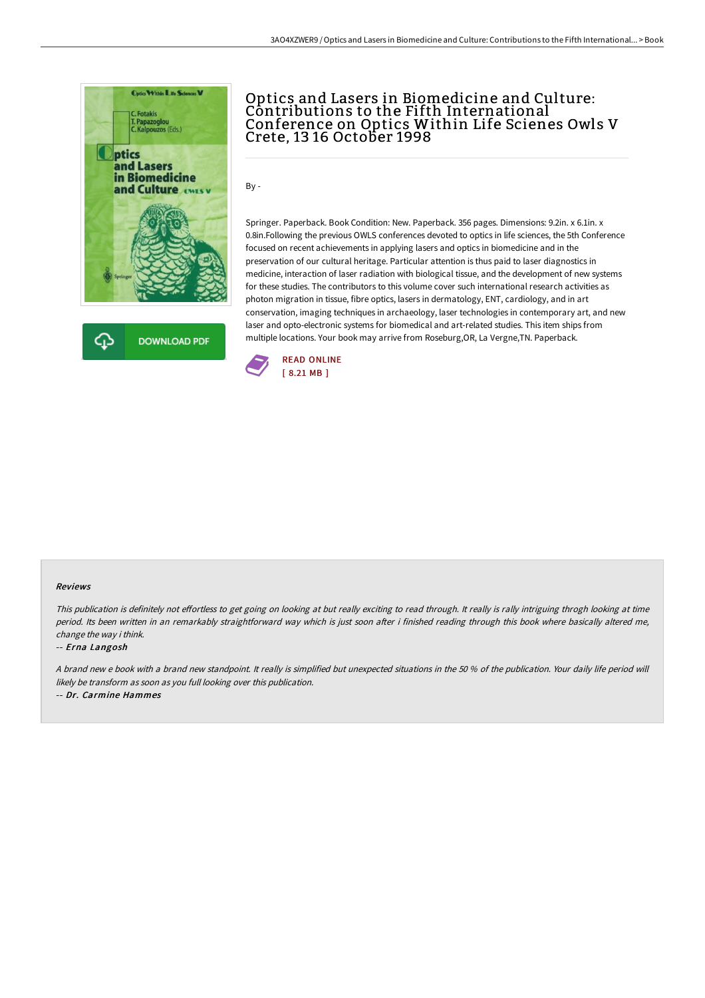



## Optics and Lasers in Biomedicine and Culture: Contributions to the Fifth International Conference on Optics Within Life Scienes Owls V Crete, 13 16 October 1998

By -

Springer. Paperback. Book Condition: New. Paperback. 356 pages. Dimensions: 9.2in. x 6.1in. x 0.8in.Following the previous OWLS conferences devoted to optics in life sciences, the 5th Conference focused on recent achievements in applying lasers and optics in biomedicine and in the preservation of our cultural heritage. Particular attention is thus paid to laser diagnostics in medicine, interaction of laser radiation with biological tissue, and the development of new systems for these studies. The contributors to this volume cover such international research activities as photon migration in tissue, fibre optics, lasers in dermatology, ENT, cardiology, and in art conservation, imaging techniques in archaeology, laser technologies in contemporary art, and new laser and opto-electronic systems for biomedical and art-related studies. This item ships from multiple locations. Your book may arrive from Roseburg,OR, La Vergne,TN. Paperback.



## Reviews

This publication is definitely not effortless to get going on looking at but really exciting to read through. It really is rally intriguing throgh looking at time period. Its been written in an remarkably straightforward way which is just soon after i finished reading through this book where basically altered me, change the way i think.

## -- Erna Langosh

A brand new <sup>e</sup> book with <sup>a</sup> brand new standpoint. It really is simplified but unexpected situations in the 50 % of the publication. Your daily life period will likely be transform as soon as you full looking over this publication.

-- Dr. Carmine Hammes